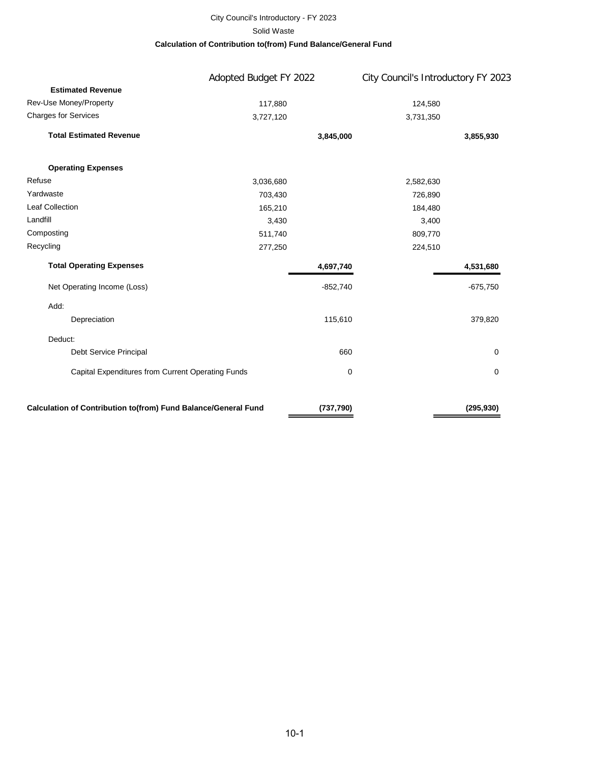#### City Council's Introductory - FY 2023 **Calculation of Contribution to(from) Fund Balance/General Fund** Solid Waste

|                                                                | Adopted Budget FY 2022 |            | City Council's Introductory FY 2023 |            |  |
|----------------------------------------------------------------|------------------------|------------|-------------------------------------|------------|--|
| <b>Estimated Revenue</b>                                       |                        |            |                                     |            |  |
| Rev-Use Money/Property                                         | 117,880                |            | 124,580                             |            |  |
| <b>Charges for Services</b>                                    | 3,727,120              |            | 3,731,350                           |            |  |
| <b>Total Estimated Revenue</b>                                 |                        | 3,845,000  |                                     | 3,855,930  |  |
| <b>Operating Expenses</b>                                      |                        |            |                                     |            |  |
| Refuse                                                         | 3,036,680              |            | 2,582,630                           |            |  |
| Yardwaste                                                      | 703,430                |            | 726,890                             |            |  |
| <b>Leaf Collection</b>                                         | 165,210                |            | 184,480                             |            |  |
| Landfill                                                       | 3,430                  |            | 3,400                               |            |  |
| Composting                                                     | 511,740                |            | 809,770                             |            |  |
| Recycling                                                      | 277,250                |            | 224,510                             |            |  |
| <b>Total Operating Expenses</b>                                |                        | 4,697,740  |                                     | 4,531,680  |  |
| Net Operating Income (Loss)                                    |                        | $-852,740$ |                                     | $-675,750$ |  |
| Add:                                                           |                        |            |                                     |            |  |
| Depreciation                                                   |                        | 115,610    |                                     | 379,820    |  |
| Deduct:                                                        |                        |            |                                     |            |  |
| Debt Service Principal                                         |                        | 660        |                                     | 0          |  |
| Capital Expenditures from Current Operating Funds              |                        | $\pmb{0}$  |                                     | 0          |  |
| Calculation of Contribution to(from) Fund Balance/General Fund |                        | (737,790)  |                                     | (295, 930) |  |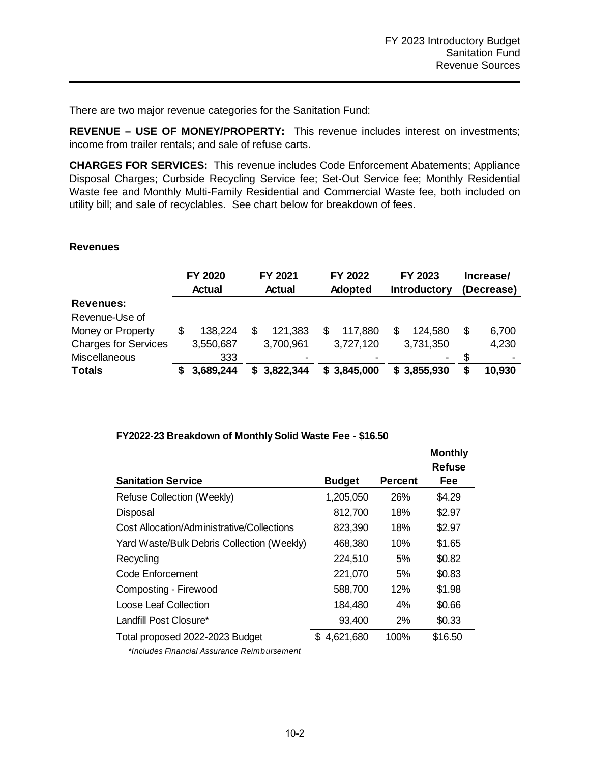There are two major revenue categories for the Sanitation Fund:

**REVENUE – USE OF MONEY/PROPERTY:** This revenue includes interest on investments; income from trailer rentals; and sale of refuse carts.

**CHARGES FOR SERVICES:** This revenue includes Code Enforcement Abatements; Appliance Disposal Charges; Curbside Recycling Service fee; Set-Out Service fee; Monthly Residential Waste fee and Monthly Multi-Family Residential and Commercial Waste fee, both included on utility bill; and sale of recyclables. See chart below for breakdown of fees.

#### **Revenues**

|                             | FY 2020       |   | FY 2021       |   | FY 2022        | FY 2023<br><b>Introductory</b> |             | Increase/<br>(Decrease) |        |
|-----------------------------|---------------|---|---------------|---|----------------|--------------------------------|-------------|-------------------------|--------|
|                             | <b>Actual</b> |   | <b>Actual</b> |   | <b>Adopted</b> |                                |             |                         |        |
| <b>Revenues:</b>            |               |   |               |   |                |                                |             |                         |        |
| Revenue-Use of              |               |   |               |   |                |                                |             |                         |        |
| Money or Property           | \$<br>138.224 | S | 121,383       | S | 117,880        | \$                             | 124,580     | \$                      | 6,700  |
| <b>Charges for Services</b> | 3,550,687     |   | 3,700,961     |   | 3,727,120      |                                | 3,731,350   |                         | 4,230  |
| <b>Miscellaneous</b>        | 333           |   |               |   |                |                                | ۰           |                         |        |
| <b>Totals</b>               | 3,689,244     | S | 3,822,344     |   | \$3,845,000    |                                | \$3,855,930 | S                       | 10,930 |

#### **FY2022-23 Breakdown of Monthly Solid Waste Fee - \$16.50**

|                                            |                  |                | <b>Monthly</b><br><b>Refuse</b> |
|--------------------------------------------|------------------|----------------|---------------------------------|
| <b>Sanitation Service</b>                  | <b>Budget</b>    | <b>Percent</b> | Fee                             |
| Refuse Collection (Weekly)                 | 1,205,050        | 26%            | \$4.29                          |
| Disposal                                   | 812,700          | 18%            | \$2.97                          |
| Cost Allocation/Administrative/Collections | 823,390          | 18%            | \$2.97                          |
| Yard Waste/Bulk Debris Collection (Weekly) | 468,380          | 10%            | \$1.65                          |
| Recycling                                  | 224,510          | 5%             | \$0.82                          |
| Code Enforcement                           | 221,070          | 5%             | \$0.83                          |
| Composting - Firewood                      | 588,700          | 12%            | \$1.98                          |
| Loose Leaf Collection                      | 184,480          | 4%             | \$0.66                          |
| Landfill Post Closure*                     | 93,400           | 2%             | \$0.33                          |
| Total proposed 2022-2023 Budget            | \$.<br>4,621,680 | 100%           | \$16.50                         |

 *\*Includes Financial Assurance Reimbursement*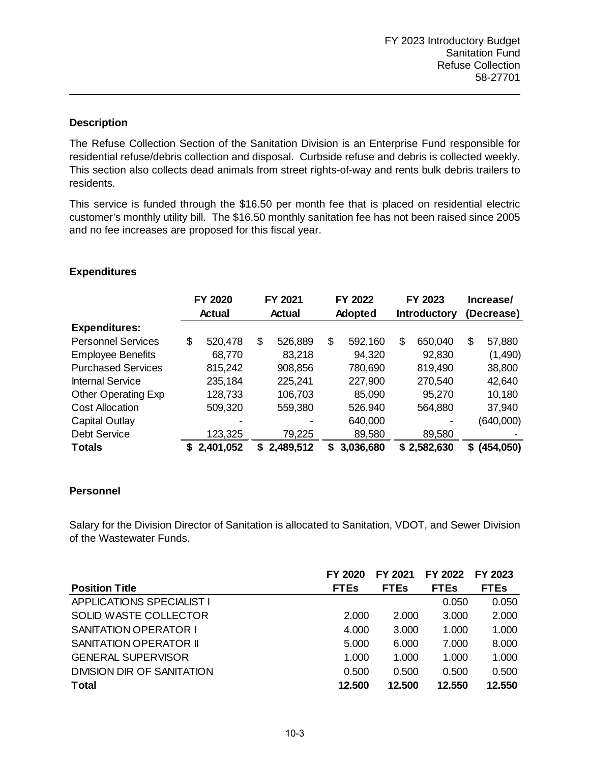The Refuse Collection Section of the Sanitation Division is an Enterprise Fund responsible for residential refuse/debris collection and disposal. Curbside refuse and debris is collected weekly. This section also collects dead animals from street rights-of-way and rents bulk debris trailers to residents.

This service is funded through the \$16.50 per month fee that is placed on residential electric customer's monthly utility bill. The \$16.50 monthly sanitation fee has not been raised since 2005 and no fee increases are proposed for this fiscal year.

|                            | FY 2020<br><b>Actual</b> |           | FY 2021<br>Actual |           | FY 2022<br>Adopted |           | FY 2023<br>Introductory |             | Increase/<br>(Decrease) |              |
|----------------------------|--------------------------|-----------|-------------------|-----------|--------------------|-----------|-------------------------|-------------|-------------------------|--------------|
| <b>Expenditures:</b>       |                          |           |                   |           |                    |           |                         |             |                         |              |
| <b>Personnel Services</b>  | \$                       | 520,478   | \$                | 526,889   | \$                 | 592,160   | \$                      | 650,040     | \$                      | 57,880       |
| <b>Employee Benefits</b>   |                          | 68,770    |                   | 83,218    |                    | 94,320    |                         | 92,830      |                         | (1,490)      |
| <b>Purchased Services</b>  |                          | 815,242   |                   | 908,856   |                    | 780,690   |                         | 819,490     |                         | 38,800       |
| <b>Internal Service</b>    |                          | 235,184   |                   | 225,241   |                    | 227,900   |                         | 270,540     |                         | 42,640       |
| <b>Other Operating Exp</b> |                          | 128,733   |                   | 106,703   |                    | 85,090    |                         | 95,270      |                         | 10,180       |
| <b>Cost Allocation</b>     |                          | 509,320   |                   | 559,380   |                    | 526,940   |                         | 564,880     |                         | 37,940       |
| Capital Outlay             |                          |           |                   |           |                    | 640,000   |                         |             |                         | (640,000)    |
| <b>Debt Service</b>        |                          | 123,325   |                   | 79,225    |                    | 89,580    |                         | 89,580      |                         |              |
| <b>Totals</b>              | S                        | 2,401,052 | S                 | 2,489,512 | S.                 | 3,036,680 |                         | \$2,582,630 |                         | \$ (454,050) |

# **Expenditures**

## **Personnel**

Salary for the Division Director of Sanitation is allocated to Sanitation, VDOT, and Sewer Division of the Wastewater Funds.

|                                  | FY 2020     | FY 2021     | FY 2022     | FY 2023     |
|----------------------------------|-------------|-------------|-------------|-------------|
| <b>Position Title</b>            | <b>FTEs</b> | <b>FTEs</b> | <b>FTEs</b> | <b>FTEs</b> |
| <b>APPLICATIONS SPECIALIST I</b> |             |             | 0.050       | 0.050       |
| SOLID WASTE COLLECTOR            | 2.000       | 2.000       | 3.000       | 2.000       |
| <b>SANITATION OPERATOR I</b>     | 4.000       | 3.000       | 1.000       | 1.000       |
| SANITATION OPERATOR II           | 5.000       | 6.000       | 7.000       | 8.000       |
| <b>GENERAL SUPERVISOR</b>        | 1.000       | 1.000       | 1.000       | 1.000       |
| DIVISION DIR OF SANITATION       | 0.500       | 0.500       | 0.500       | 0.500       |
| <b>Total</b>                     | 12.500      | 12.500      | 12.550      | 12.550      |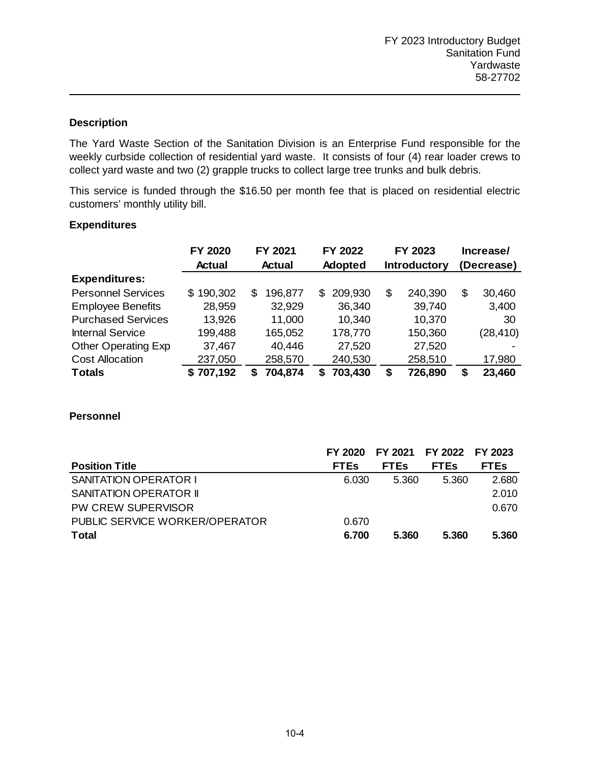The Yard Waste Section of the Sanitation Division is an Enterprise Fund responsible for the weekly curbside collection of residential yard waste. It consists of four (4) rear loader crews to collect yard waste and two (2) grapple trucks to collect large tree trunks and bulk debris.

This service is funded through the \$16.50 per month fee that is placed on residential electric customers' monthly utility bill.

## **Expenditures**

|                            | FY 2020   | FY 2021       | FY 2022        | FY 2023             |         | Increase/  |           |
|----------------------------|-----------|---------------|----------------|---------------------|---------|------------|-----------|
|                            | Actual    | <b>Actual</b> | <b>Adopted</b> | <b>Introductory</b> |         | (Decrease) |           |
| <b>Expenditures:</b>       |           |               |                |                     |         |            |           |
| <b>Personnel Services</b>  | \$190,302 | 196,877<br>\$ | 209,930<br>S   | \$                  | 240,390 | \$         | 30,460    |
| <b>Employee Benefits</b>   | 28,959    | 32,929        | 36,340         |                     | 39,740  |            | 3,400     |
| <b>Purchased Services</b>  | 13,926    | 11,000        | 10,340         |                     | 10,370  |            | 30        |
| <b>Internal Service</b>    | 199,488   | 165,052       | 178,770        |                     | 150,360 |            | (28, 410) |
| <b>Other Operating Exp</b> | 37,467    | 40,446        | 27,520         |                     | 27,520  |            |           |
| <b>Cost Allocation</b>     | 237,050   | 258,570       | 240,530        |                     | 258,510 |            | 17,980    |
| <b>Totals</b>              | \$707,192 | 704,874<br>S  | 703,430<br>S   | \$                  | 726,890 |            | 23,460    |

|                                | FY 2020     | FY 2021     | FY 2022 FY 2023 |             |
|--------------------------------|-------------|-------------|-----------------|-------------|
| <b>Position Title</b>          | <b>FTES</b> | <b>FTES</b> | <b>FTES</b>     | <b>FTEs</b> |
| <b>SANITATION OPERATOR I</b>   | 6.030       | 5.360       | 5.360           | 2.680       |
| <b>SANITATION OPERATOR II</b>  |             |             |                 | 2.010       |
| PW CREW SUPERVISOR             |             |             |                 | 0.670       |
| PUBLIC SERVICE WORKER/OPERATOR | 0.670       |             |                 |             |
| <b>Total</b>                   | 6.700       | 5.360       | 5.360           | 5.360       |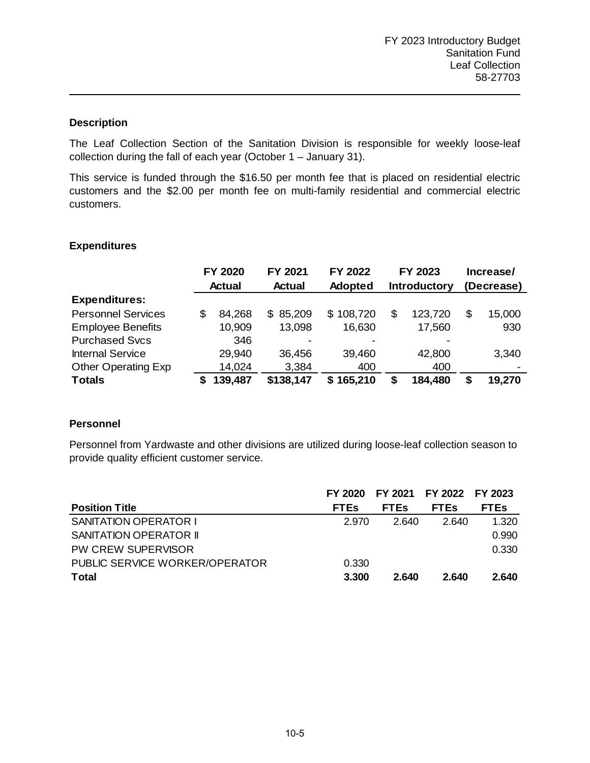The Leaf Collection Section of the Sanitation Division is responsible for weekly loose-leaf collection during the fall of each year (October 1 – January 31).

This service is funded through the \$16.50 per month fee that is placed on residential electric customers and the \$2.00 per month fee on multi-family residential and commercial electric customers.

#### **Expenditures**

|                            | FY 2020 |               | FY 2021       | FY 2022        | FY 2023 |                     | Increase/ |            |  |
|----------------------------|---------|---------------|---------------|----------------|---------|---------------------|-----------|------------|--|
|                            |         | <b>Actual</b> | <b>Actual</b> | <b>Adopted</b> |         | <b>Introductory</b> |           | (Decrease) |  |
| <b>Expenditures:</b>       |         |               |               |                |         |                     |           |            |  |
| <b>Personnel Services</b>  | S       | 84,268        | \$85,209      | 108,720<br>\$. | S       | 123,720             | \$        | 15,000     |  |
| <b>Employee Benefits</b>   |         | 10,909        | 13,098        | 16,630         |         | 17,560              |           | 930        |  |
| <b>Purchased Svcs</b>      |         | 346           | -             |                |         |                     |           |            |  |
| <b>Internal Service</b>    |         | 29,940        | 36,456        | 39,460         |         | 42,800              |           | 3,340      |  |
| <b>Other Operating Exp</b> |         | 14,024        | 3,384         | 400            |         | 400                 |           |            |  |
| <b>Totals</b>              |         | 139,487       | \$138,147     | 165,210<br>S   |         | 184,480             |           | 19,270     |  |

## **Personnel**

Personnel from Yardwaste and other divisions are utilized during loose-leaf collection season to provide quality efficient customer service.

|                                | FY 2020     | FY 2021 FY 2022 FY 2023 |             |             |
|--------------------------------|-------------|-------------------------|-------------|-------------|
| <b>Position Title</b>          | <b>FTEs</b> | <b>FTEs</b>             | <b>FTES</b> | <b>FTEs</b> |
| <b>SANITATION OPERATOR I</b>   | 2.970       | 2.640                   | 2.640       | 1.320       |
| <b>SANITATION OPERATOR II</b>  |             |                         |             | 0.990       |
| PW CREW SUPERVISOR             |             |                         |             | 0.330       |
| PUBLIC SERVICE WORKER/OPERATOR | 0.330       |                         |             |             |
| <b>Total</b>                   | 3.300       | 2.640                   | 2.640       | 2.640       |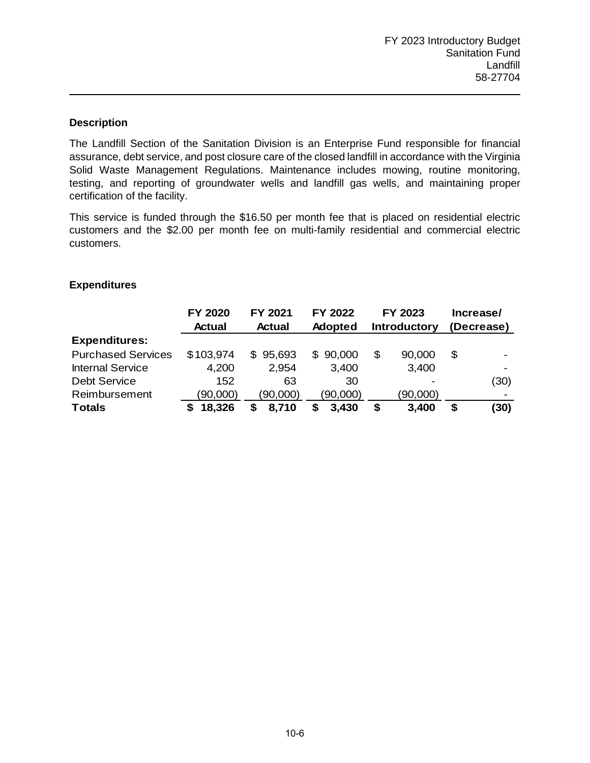The Landfill Section of the Sanitation Division is an Enterprise Fund responsible for financial assurance, debt service, and post closure care of the closed landfill in accordance with the Virginia Solid Waste Management Regulations. Maintenance includes mowing, routine monitoring, testing, and reporting of groundwater wells and landfill gas wells, and maintaining proper certification of the facility.

This service is funded through the \$16.50 per month fee that is placed on residential electric customers and the \$2.00 per month fee on multi-family residential and commercial electric customers.

## **Expenditures**

|                           | <b>FY 2020</b> | FY 2021       | FY 2022        | FY 2023             |          | Increase/  |                          |
|---------------------------|----------------|---------------|----------------|---------------------|----------|------------|--------------------------|
|                           | <b>Actual</b>  | <b>Actual</b> | <b>Adopted</b> | <b>Introductory</b> |          | (Decrease) |                          |
| <b>Expenditures:</b>      |                |               |                |                     |          |            |                          |
| <b>Purchased Services</b> | \$103,974      | 95,693<br>\$  | \$90,000       | S                   | 90,000   | \$         |                          |
| <b>Internal Service</b>   | 4,200          | 2,954         | 3,400          |                     | 3,400    |            |                          |
| <b>Debt Service</b>       | 152            | 63            | 30             |                     |          |            | (30)                     |
| Reimbursement             | (90,000)       | (90,000)      | (90,000)       |                     | (90,000) |            | $\overline{\phantom{0}}$ |
| <b>Totals</b>             | 18,326         | 8,710         | 3,430          | S                   | 3,400    | S          | (30)                     |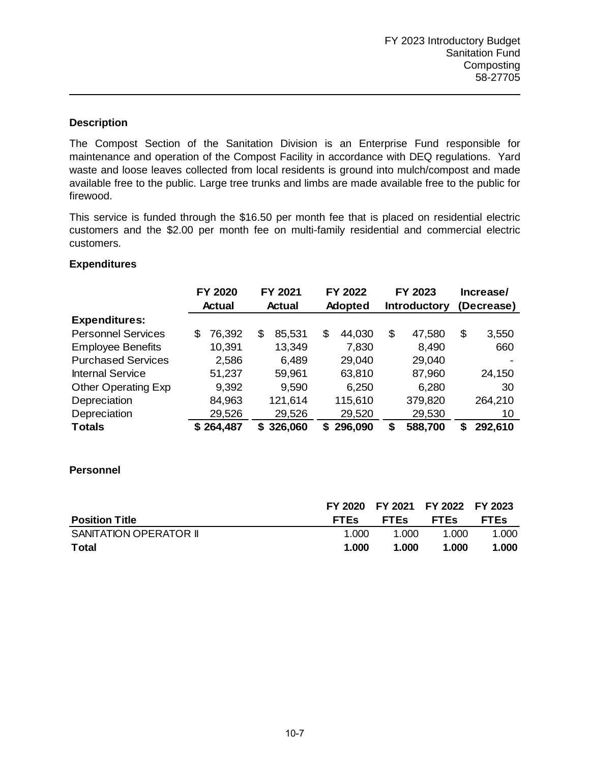The Compost Section of the Sanitation Division is an Enterprise Fund responsible for maintenance and operation of the Compost Facility in accordance with DEQ regulations. Yard waste and loose leaves collected from local residents is ground into mulch/compost and made available free to the public. Large tree trunks and limbs are made available free to the public for firewood.

This service is funded through the \$16.50 per month fee that is placed on residential electric customers and the \$2.00 per month fee on multi-family residential and commercial electric customers.

## **Expenditures**

|                            |   | FY 2020       |    | FY 2021 |    | FY 2022        |    | FY 2023             |    | Increase/  |  |
|----------------------------|---|---------------|----|---------|----|----------------|----|---------------------|----|------------|--|
|                            |   | <b>Actual</b> |    | Actual  |    | <b>Adopted</b> |    | <b>Introductory</b> |    | (Decrease) |  |
| <b>Expenditures:</b>       |   |               |    |         |    |                |    |                     |    |            |  |
| <b>Personnel Services</b>  | S | 76,392        | S  | 85,531  | \$ | 44,030         | \$ | 47,580              | \$ | 3,550      |  |
| <b>Employee Benefits</b>   |   | 10,391        |    | 13,349  |    | 7,830          |    | 8,490               |    | 660        |  |
| <b>Purchased Services</b>  |   | 2,586         |    | 6,489   |    | 29,040         |    | 29,040              |    |            |  |
| <b>Internal Service</b>    |   | 51,237        |    | 59,961  |    | 63,810         |    | 87,960              |    | 24,150     |  |
| <b>Other Operating Exp</b> |   | 9,392         |    | 9,590   |    | 6,250          |    | 6,280               |    | 30         |  |
| Depreciation               |   | 84,963        |    | 121,614 |    | 115,610        |    | 379,820             |    | 264,210    |  |
| Depreciation               |   | 29,526        |    | 29,526  |    | 29,520         |    | 29,530              |    | 10         |  |
| <b>Totals</b>              |   | \$264,487     | S. | 326,060 | S  | 296,090        | S  | 588,700             | S  | 292,610    |  |

|                        |             |             | FY 2020 FY 2021 FY 2022 FY 2023 |             |
|------------------------|-------------|-------------|---------------------------------|-------------|
| <b>Position Title</b>  | <b>FTES</b> | <b>FTES</b> | <b>FTES</b>                     | <b>FTEs</b> |
| SANITATION OPERATOR II | 1.000       | 1.000       | 1.000                           | 1.000       |
| <b>Total</b>           | 1.000       | 1.000       | 1.000                           | 1.000       |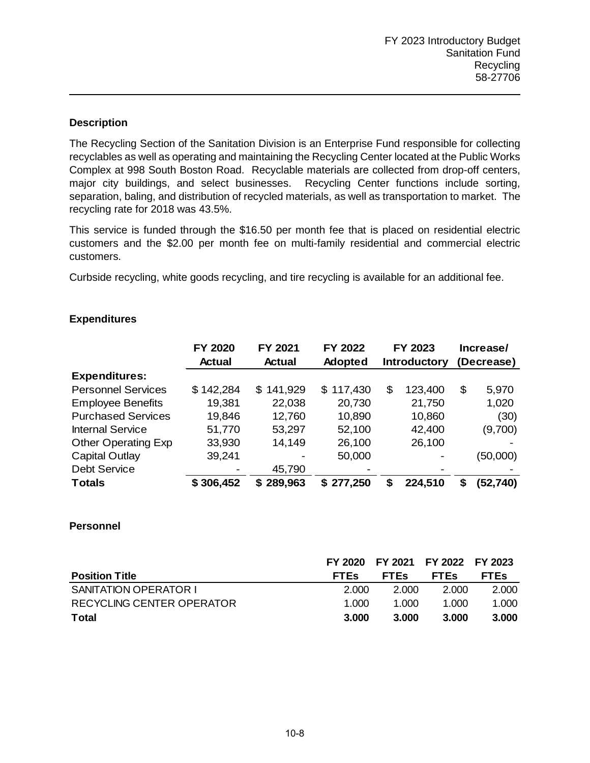The Recycling Section of the Sanitation Division is an Enterprise Fund responsible for collecting recyclables as well as operating and maintaining the Recycling Center located at the Public Works Complex at 998 South Boston Road. Recyclable materials are collected from drop-off centers, major city buildings, and select businesses. Recycling Center functions include sorting, separation, baling, and distribution of recycled materials, as well as transportation to market. The recycling rate for 2018 was 43.5%.

This service is funded through the \$16.50 per month fee that is placed on residential electric customers and the \$2.00 per month fee on multi-family residential and commercial electric customers.

Curbside recycling, white goods recycling, and tire recycling is available for an additional fee.

|                            | FY 2020       | FY 2021       | FY 2022        | FY 2023             |         | Increase/  |           |
|----------------------------|---------------|---------------|----------------|---------------------|---------|------------|-----------|
|                            | <b>Actual</b> | <b>Actual</b> | <b>Adopted</b> | <b>Introductory</b> |         | (Decrease) |           |
| <b>Expenditures:</b>       |               |               |                |                     |         |            |           |
| <b>Personnel Services</b>  | \$142,284     | \$141,929     | \$117,430      | \$                  | 123,400 | \$         | 5,970     |
| <b>Employee Benefits</b>   | 19,381        | 22,038        | 20,730         |                     | 21,750  |            | 1,020     |
| <b>Purchased Services</b>  | 19,846        | 12,760        | 10,890         |                     | 10,860  |            | (30)      |
| <b>Internal Service</b>    | 51,770        | 53,297        | 52,100         |                     | 42,400  |            | (9,700)   |
| <b>Other Operating Exp</b> | 33,930        | 14,149        | 26,100         |                     | 26,100  |            |           |
| Capital Outlay             | 39,241        |               | 50,000         |                     |         |            | (50,000)  |
| <b>Debt Service</b>        |               | 45,790        |                |                     |         |            |           |
| <b>Totals</b>              | \$306,452     | 289,963<br>S  | \$277,250      | S                   | 224,510 | S          | (52, 740) |

# **Expenditures**

|                              | FY 2020     | FY 2021 FY 2022 FY 2023 |             |             |
|------------------------------|-------------|-------------------------|-------------|-------------|
| <b>Position Title</b>        | <b>FTES</b> | <b>FTES</b>             | <b>FTES</b> | <b>FTES</b> |
| <b>SANITATION OPERATOR I</b> | 2.000       | 2.000                   | 2.000       | 2.000       |
| RECYCLING CENTER OPERATOR    | 1.000       | 1.000                   | 1.000       | 1.000       |
| <b>Total</b>                 | 3.000       | 3.000                   | 3.000       | 3.000       |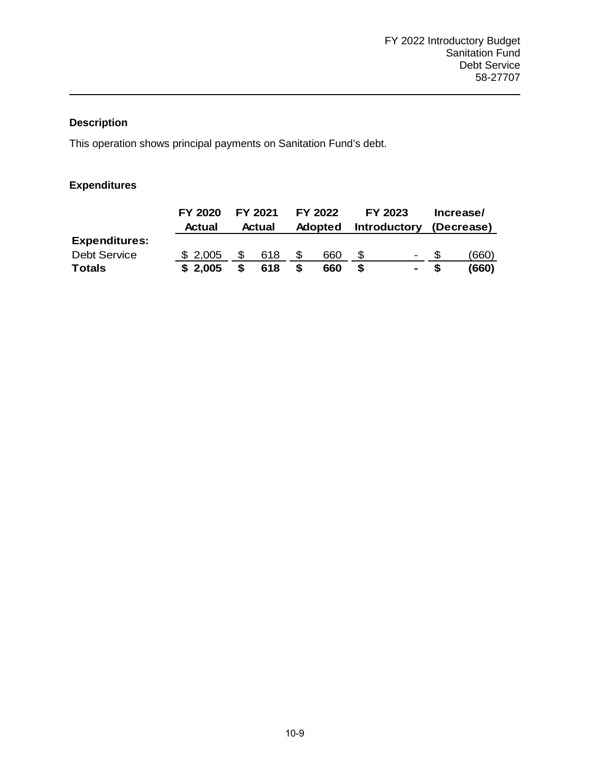This operation shows principal payments on Sanitation Fund's debt.

# **Expenditures**

|                      | FY 2020 |     | FY 2021 |   | FY 2022        | FY 2023                  | Increase/  |
|----------------------|---------|-----|---------|---|----------------|--------------------------|------------|
|                      | Actual  |     | Actual  |   | <b>Adopted</b> | <b>Introductory</b>      | (Decrease) |
| <b>Expenditures:</b> |         |     |         |   |                |                          |            |
| <b>Debt Service</b>  | \$2,005 | \$. | 618     |   | 660            | $\overline{\phantom{a}}$ | (660)      |
| <b>Totals</b>        | \$2.005 | S.  | 618     | S | 660            | $\blacksquare$           | (660)      |